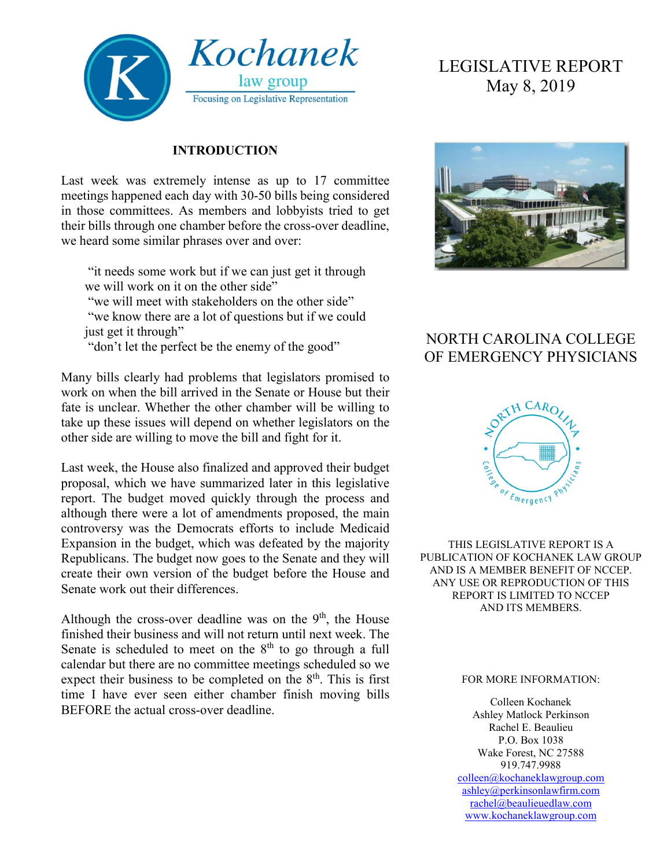

#### **INTRODUCTION**

Last week was extremely intense as up to 17 committee meetings happened each day with 30-50 bills being considered in those committees. As members and lobbyists tried to get their bills through one chamber before the cross-over deadline, we heard some similar phrases over and over:

"it needs some work but if we can just get it through we will work on it on the other side" "we will meet with stakeholders on the other side" "we know there are a lot of questions but if we could just get it through"

"don't let the perfect be the enemy of the good"

Many bills clearly had problems that legislators promised to work on when the bill arrived in the Senate or House but their fate is unclear. Whether the other chamber will be willing to take up these issues will depend on whether legislators on the other side are willing to move the bill and fight for it.

Last week, the House also finalized and approved their budget proposal, which we have summarized later in this legislative report. The budget moved quickly through the process and although there were a lot of amendments proposed, the main controversy was the Democrats efforts to include Medicaid Expansion in the budget, which was defeated by the majority Republicans. The budget now goes to the Senate and they will create their own version of the budget before the House and Senate work out their differences.

Although the cross-over deadline was on the  $9<sup>th</sup>$ , the House finished their business and will not return until next week. The Senate is scheduled to meet on the  $8<sup>th</sup>$  to go through a full calendar but there are no committee meetings scheduled so we expect their business to be completed on the  $8<sup>th</sup>$ . This is first time I have ever seen either chamber finish moving bills BEFORE the actual cross-over deadline.

# LEGISLATIVE REPORT May 8, 2019



## NORTH CAROLINA COLLEGE OF EMERGENCY PHYSICIANS



THIS LEGISLATIVE REPORT IS A PUBLICATION OF KOCHANEK LAW GROUP AND IS A MEMBER BENEFIT OF NCCEP. ANY USE OR REPRODUCTION OF THIS REPORT IS LIMITED TO NCCEP AND ITS MEMBERS.

#### FOR MORE INFORMATION:

Colleen Kochanek Ashley Matlock Perkinson Rachel E. Beaulieu P.O. Box 1038 Wake Forest, NC 27588 919.747.9988 [colleen@kochaneklawgroup.com](mailto:colleen@kochaneklawgroup.com) [ashley@perkinsonlawfirm.com](mailto:ashley@perkinsonlawfirm.com) [rachel@beaulieuedlaw.com](mailto:rachel@beaulieuedlaw.com) [www.kochaneklawgroup.com](http://www.kochaneklawgroup.com/)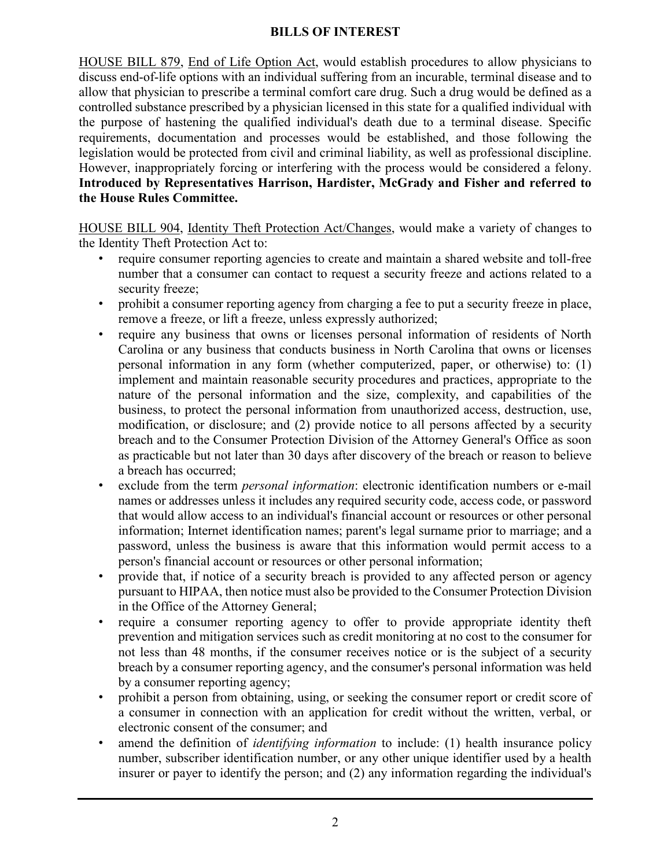#### **BILLS OF INTEREST**

HOUSE BILL 879, End of Life Option Act, would establish procedures to allow physicians to discuss end-of-life options with an individual suffering from an incurable, terminal disease and to allow that physician to prescribe a terminal comfort care drug. Such a drug would be defined as a controlled substance prescribed by a physician licensed in this state for a qualified individual with the purpose of hastening the qualified individual's death due to a terminal disease. Specific requirements, documentation and processes would be established, and those following the legislation would be protected from civil and criminal liability, as well as professional discipline. However, inappropriately forcing or interfering with the process would be considered a felony. **Introduced by Representatives Harrison, Hardister, McGrady and Fisher and referred to the House Rules Committee.**

HOUSE BILL 904, Identity Theft Protection Act/Changes, would make a variety of changes to the Identity Theft Protection Act to:

- require consumer reporting agencies to create and maintain a shared website and toll-free number that a consumer can contact to request a security freeze and actions related to a security freeze;
- prohibit a consumer reporting agency from charging a fee to put a security freeze in place, remove a freeze, or lift a freeze, unless expressly authorized;
- require any business that owns or licenses personal information of residents of North Carolina or any business that conducts business in North Carolina that owns or licenses personal information in any form (whether computerized, paper, or otherwise) to: (1) implement and maintain reasonable security procedures and practices, appropriate to the nature of the personal information and the size, complexity, and capabilities of the business, to protect the personal information from unauthorized access, destruction, use, modification, or disclosure; and (2) provide notice to all persons affected by a security breach and to the Consumer Protection Division of the Attorney General's Office as soon as practicable but not later than 30 days after discovery of the breach or reason to believe a breach has occurred;
- exclude from the term *personal information*: electronic identification numbers or e-mail names or addresses unless it includes any required security code, access code, or password that would allow access to an individual's financial account or resources or other personal information; Internet identification names; parent's legal surname prior to marriage; and a password, unless the business is aware that this information would permit access to a person's financial account or resources or other personal information;
- provide that, if notice of a security breach is provided to any affected person or agency pursuant to HIPAA, then notice must also be provided to the Consumer Protection Division in the Office of the Attorney General;
- require a consumer reporting agency to offer to provide appropriate identity theft prevention and mitigation services such as credit monitoring at no cost to the consumer for not less than 48 months, if the consumer receives notice or is the subject of a security breach by a consumer reporting agency, and the consumer's personal information was held by a consumer reporting agency;
- prohibit a person from obtaining, using, or seeking the consumer report or credit score of a consumer in connection with an application for credit without the written, verbal, or electronic consent of the consumer; and
- amend the definition of *identifying information* to include: (1) health insurance policy number, subscriber identification number, or any other unique identifier used by a health insurer or payer to identify the person; and (2) any information regarding the individual's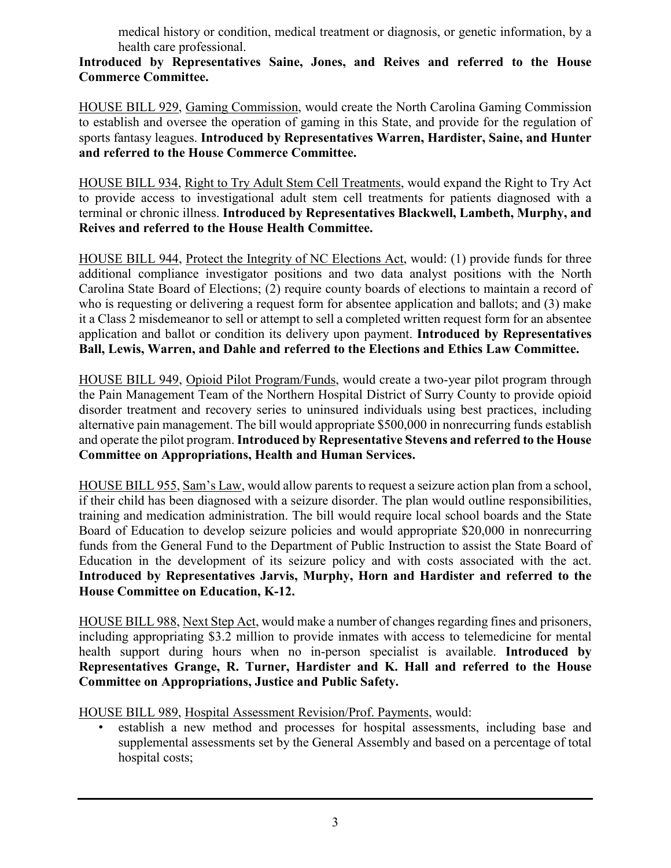medical history or condition, medical treatment or diagnosis, or genetic information, by a health care professional.

**Introduced by Representatives Saine, Jones, and Reives and referred to the House Commerce Committee.**

HOUSE BILL 929, Gaming Commission, would create the North Carolina Gaming Commission to establish and oversee the operation of gaming in this State, and provide for the regulation of sports fantasy leagues. **Introduced by Representatives Warren, Hardister, Saine, and Hunter and referred to the House Commerce Committee.**

HOUSE BILL 934, Right to Try Adult Stem Cell Treatments, would expand the Right to Try Act to provide access to investigational adult stem cell treatments for patients diagnosed with a terminal or chronic illness. **Introduced by Representatives Blackwell, Lambeth, Murphy, and Reives and referred to the House Health Committee.**

HOUSE BILL 944, Protect the Integrity of NC Elections Act, would: (1) provide funds for three additional compliance investigator positions and two data analyst positions with the North Carolina State Board of Elections; (2) require county boards of elections to maintain a record of who is requesting or delivering a request form for absentee application and ballots; and (3) make it a Class 2 misdemeanor to sell or attempt to sell a completed written request form for an absentee application and ballot or condition its delivery upon payment. **Introduced by Representatives Ball, Lewis, Warren, and Dahle and referred to the Elections and Ethics Law Committee.**

HOUSE BILL 949, Opioid Pilot Program/Funds, would create a two-year pilot program through the Pain Management Team of the Northern Hospital District of Surry County to provide opioid disorder treatment and recovery series to uninsured individuals using best practices, including alternative pain management. The bill would appropriate \$500,000 in nonrecurring funds establish and operate the pilot program. **Introduced by Representative Stevens and referred to the House Committee on Appropriations, Health and Human Services.**

HOUSE BILL 955, Sam's Law, would allow parents to request a seizure action plan from a school, if their child has been diagnosed with a seizure disorder. The plan would outline responsibilities, training and medication administration. The bill would require local school boards and the State Board of Education to develop seizure policies and would appropriate \$20,000 in nonrecurring funds from the General Fund to the Department of Public Instruction to assist the State Board of Education in the development of its seizure policy and with costs associated with the act. **Introduced by Representatives Jarvis, Murphy, Horn and Hardister and referred to the House Committee on Education, K-12.**

HOUSE BILL 988, Next Step Act, would make a number of changes regarding fines and prisoners, including appropriating \$3.2 million to provide inmates with access to telemedicine for mental health support during hours when no in-person specialist is available. **Introduced by Representatives Grange, R. Turner, Hardister and K. Hall and referred to the House Committee on Appropriations, Justice and Public Safety.**

HOUSE BILL 989, Hospital Assessment Revision/Prof. Payments, would:

• establish a new method and processes for hospital assessments, including base and supplemental assessments set by the General Assembly and based on a percentage of total hospital costs;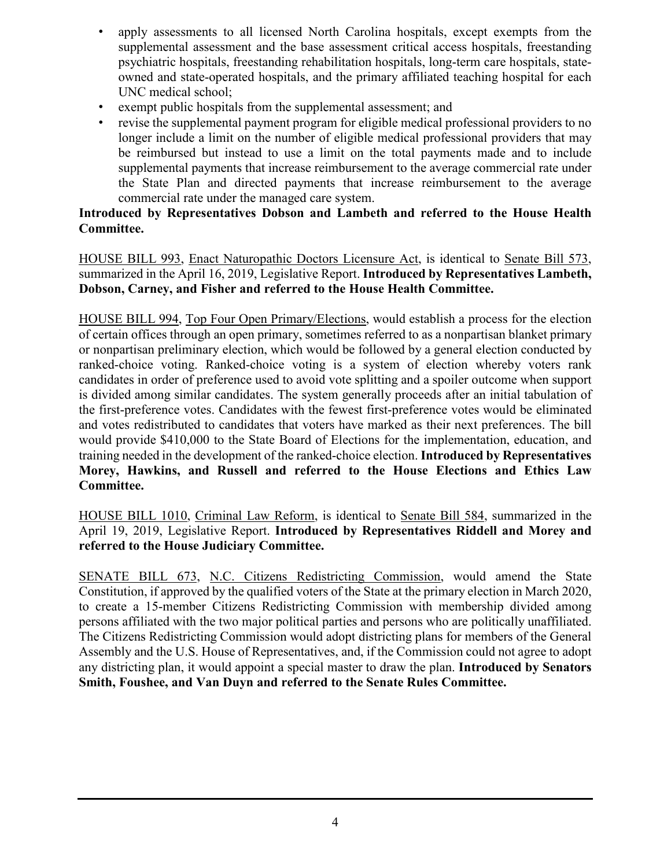- apply assessments to all licensed North Carolina hospitals, except exempts from the supplemental assessment and the base assessment critical access hospitals, freestanding psychiatric hospitals, freestanding rehabilitation hospitals, long-term care hospitals, stateowned and state-operated hospitals, and the primary affiliated teaching hospital for each UNC medical school;
- exempt public hospitals from the supplemental assessment; and
- revise the supplemental payment program for eligible medical professional providers to no longer include a limit on the number of eligible medical professional providers that may be reimbursed but instead to use a limit on the total payments made and to include supplemental payments that increase reimbursement to the average commercial rate under the State Plan and directed payments that increase reimbursement to the average commercial rate under the managed care system.

#### **Introduced by Representatives Dobson and Lambeth and referred to the House Health Committee.**

HOUSE BILL 993, Enact Naturopathic Doctors Licensure Act, is identical to Senate Bill 573, summarized in the April 16, 2019, Legislative Report. **Introduced by Representatives Lambeth, Dobson, Carney, and Fisher and referred to the House Health Committee.**

HOUSE BILL 994, Top Four Open Primary/Elections, would establish a process for the election of certain offices through an open primary, sometimes referred to as a nonpartisan blanket primary or nonpartisan preliminary election, which would be followed by a general election conducted by ranked-choice voting. Ranked-choice voting is a system of election whereby voters rank candidates in order of preference used to avoid vote splitting and a spoiler outcome when support is divided among similar candidates. The system generally proceeds after an initial tabulation of the first-preference votes. Candidates with the fewest first-preference votes would be eliminated and votes redistributed to candidates that voters have marked as their next preferences. The bill would provide \$410,000 to the State Board of Elections for the implementation, education, and training needed in the development of the ranked-choice election. **Introduced by Representatives Morey, Hawkins, and Russell and referred to the House Elections and Ethics Law Committee.**

HOUSE BILL 1010, Criminal Law Reform, is identical to Senate Bill 584, summarized in the April 19, 2019, Legislative Report. **Introduced by Representatives Riddell and Morey and referred to the House Judiciary Committee.**

SENATE BILL 673, N.C. Citizens Redistricting Commission, would amend the State Constitution, if approved by the qualified voters of the State at the primary election in March 2020, to create a 15-member Citizens Redistricting Commission with membership divided among persons affiliated with the two major political parties and persons who are politically unaffiliated. The Citizens Redistricting Commission would adopt districting plans for members of the General Assembly and the U.S. House of Representatives, and, if the Commission could not agree to adopt any districting plan, it would appoint a special master to draw the plan. **Introduced by Senators Smith, Foushee, and Van Duyn and referred to the Senate Rules Committee.**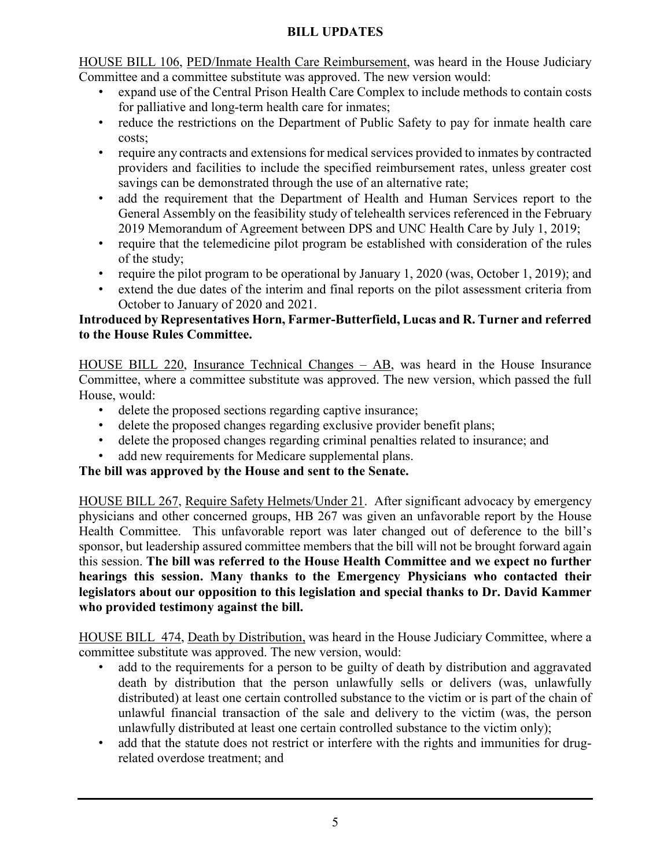#### **BILL UPDATES**

HOUSE BILL 106, PED/Inmate Health Care Reimbursement, was heard in the House Judiciary Committee and a committee substitute was approved. The new version would:

- expand use of the Central Prison Health Care Complex to include methods to contain costs for palliative and long-term health care for inmates;
- reduce the restrictions on the Department of Public Safety to pay for inmate health care costs;
- require any contracts and extensions for medical services provided to inmates by contracted providers and facilities to include the specified reimbursement rates, unless greater cost savings can be demonstrated through the use of an alternative rate;
- add the requirement that the Department of Health and Human Services report to the General Assembly on the feasibility study of telehealth services referenced in the February 2019 Memorandum of Agreement between DPS and UNC Health Care by July 1, 2019;
- require that the telemedicine pilot program be established with consideration of the rules of the study;
- require the pilot program to be operational by January 1, 2020 (was, October 1, 2019); and
- extend the due dates of the interim and final reports on the pilot assessment criteria from October to January of 2020 and 2021.

#### **Introduced by Representatives Horn, Farmer-Butterfield, Lucas and R. Turner and referred to the House Rules Committee.**

HOUSE BILL 220, Insurance Technical Changes – AB, was heard in the House Insurance Committee, where a committee substitute was approved. The new version, which passed the full House, would:

- delete the proposed sections regarding captive insurance;
- delete the proposed changes regarding exclusive provider benefit plans;
- delete the proposed changes regarding criminal penalties related to insurance; and
- add new requirements for Medicare supplemental plans.

### **The bill was approved by the House and sent to the Senate.**

HOUSE BILL 267, Require Safety Helmets/Under 21. After significant advocacy by emergency physicians and other concerned groups, HB 267 was given an unfavorable report by the House Health Committee. This unfavorable report was later changed out of deference to the bill's sponsor, but leadership assured committee members that the bill will not be brought forward again this session. **The bill was referred to the House Health Committee and we expect no further hearings this session. Many thanks to the Emergency Physicians who contacted their legislators about our opposition to this legislation and special thanks to Dr. David Kammer who provided testimony against the bill.**

HOUSE BILL 474, Death by Distribution, was heard in the House Judiciary Committee, where a committee substitute was approved. The new version, would:

- add to the requirements for a person to be guilty of death by distribution and aggravated death by distribution that the person unlawfully sells or delivers (was, unlawfully distributed) at least one certain controlled substance to the victim or is part of the chain of unlawful financial transaction of the sale and delivery to the victim (was, the person unlawfully distributed at least one certain controlled substance to the victim only);
- add that the statute does not restrict or interfere with the rights and immunities for drugrelated overdose treatment; and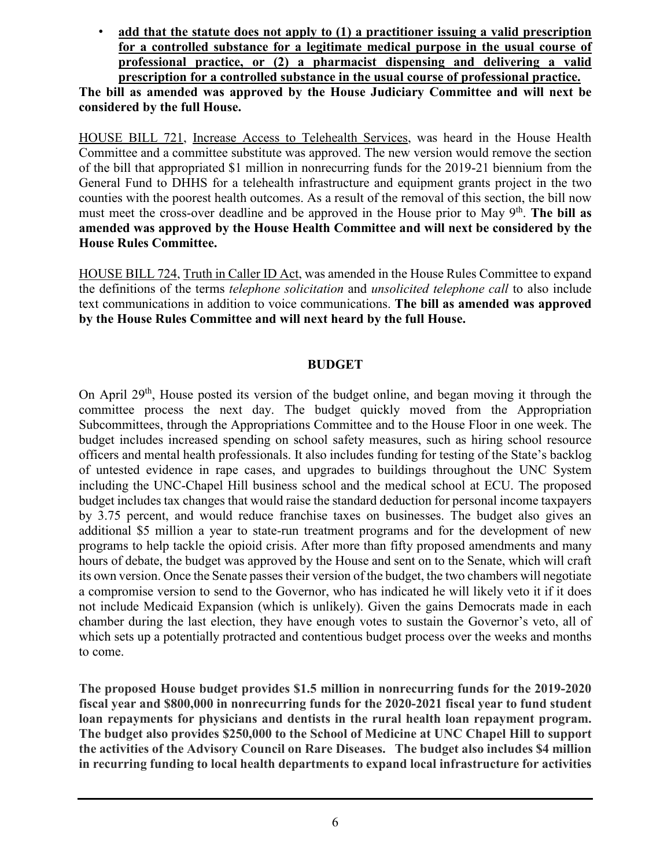• **add that the statute does not apply to (1) a practitioner issuing a valid prescription for a controlled substance for a legitimate medical purpose in the usual course of professional practice, or (2) a pharmacist dispensing and delivering a valid prescription for a controlled substance in the usual course of professional practice.**

**The bill as amended was approved by the House Judiciary Committee and will next be considered by the full House.**

HOUSE BILL 721, Increase Access to Telehealth Services, was heard in the House Health Committee and a committee substitute was approved. The new version would remove the section of the bill that appropriated \$1 million in nonrecurring funds for the 2019-21 biennium from the General Fund to DHHS for a telehealth infrastructure and equipment grants project in the two counties with the poorest health outcomes. As a result of the removal of this section, the bill now must meet the cross-over deadline and be approved in the House prior to May 9<sup>th</sup>. The bill as **amended was approved by the House Health Committee and will next be considered by the House Rules Committee.**

HOUSE BILL 724, Truth in Caller ID Act, was amended in the House Rules Committee to expand the definitions of the terms *telephone solicitation* and *unsolicited telephone call* to also include text communications in addition to voice communications. **The bill as amended was approved by the House Rules Committee and will next heard by the full House.**

#### **BUDGET**

On April 29<sup>th</sup>, House posted its version of the budget online, and began moving it through the committee process the next day. The budget quickly moved from the Appropriation Subcommittees, through the Appropriations Committee and to the House Floor in one week. The budget includes increased spending on school safety measures, such as hiring school resource officers and mental health professionals. It also includes funding for testing of the State's backlog of untested evidence in rape cases, and upgrades to buildings throughout the UNC System including the UNC-Chapel Hill business school and the medical school at ECU. The proposed budget includes tax changes that would raise the standard deduction for personal income taxpayers by 3.75 percent, and would reduce franchise taxes on businesses. The budget also gives an additional \$5 million a year to state-run treatment programs and for the development of new programs to help tackle the opioid crisis. After more than fifty proposed amendments and many hours of debate, the budget was approved by the House and sent on to the Senate, which will craft its own version. Once the Senate passes their version of the budget, the two chambers will negotiate a compromise version to send to the Governor, who has indicated he will likely veto it if it does not include Medicaid Expansion (which is unlikely). Given the gains Democrats made in each chamber during the last election, they have enough votes to sustain the Governor's veto, all of which sets up a potentially protracted and contentious budget process over the weeks and months to come.

**The proposed House budget provides \$1.5 million in nonrecurring funds for the 2019-2020 fiscal year and \$800,000 in nonrecurring funds for the 2020-2021 fiscal year to fund student loan repayments for physicians and dentists in the rural health loan repayment program. The budget also provides \$250,000 to the School of Medicine at UNC Chapel Hill to support the activities of the Advisory Council on Rare Diseases. The budget also includes \$4 million in recurring funding to local health departments to expand local infrastructure for activities**